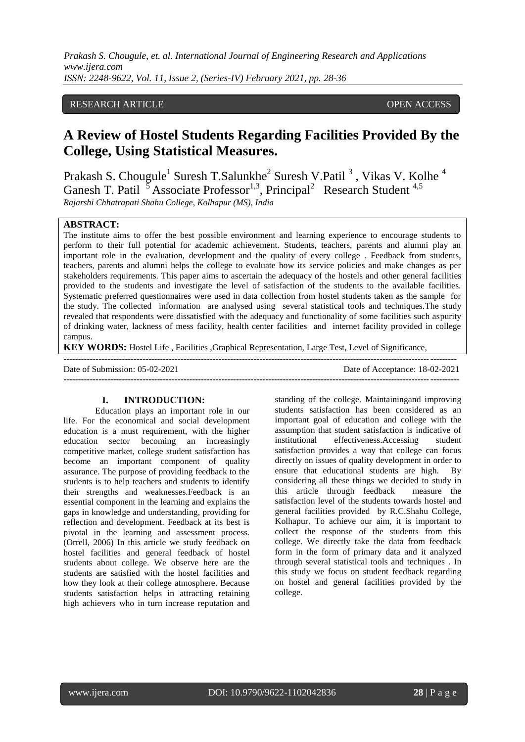#### RESEARCH ARTICLE **CONSERVERS** OPEN ACCESS

# **A Review of Hostel Students Regarding Facilities Provided By the College, Using Statistical Measures.**

Prakash S. Chougule<sup>1</sup> Suresh T.Salunkhe<sup>2</sup> Suresh V.Patil<sup>3</sup>, Vikas V. Kolhe<sup>4</sup> Ganesh T. Patil  $5$  Associate Professor<sup>1,3</sup>, Principal<sup>2</sup> Research Student<sup>4,5</sup> *Rajarshi Chhatrapati Shahu College, Kolhapur (MS), India*

#### **ABSTRACT:**

The institute aims to offer the best possible environment and learning experience to encourage students to perform to their full potential for academic achievement. Students, teachers, parents and alumni play an important role in the evaluation, development and the quality of every college . Feedback from students, teachers, parents and alumni helps the college to evaluate how its service policies and make changes as per stakeholders requirements. This paper aims to ascertain the adequacy of the hostels and other general facilities provided to the students and investigate the level of satisfaction of the students to the available facilities. Systematic preferred questionnaires were used in data collection from hostel students taken as the sample for the study. The collected information are analysed using several statistical tools and techniques.The study revealed that respondents were dissatisfied with the adequacy and functionality of some facilities such aspurity of drinking water, lackness of mess facility, health center facilities and internet facility provided in college campus.

**KEY WORDS:** Hostel Life , Facilities ,Graphical Representation, Large Test, Level of Significance,

| Date of Submission: $05-02-2021$ | Date of Acceptance: 18-02-2021 |
|----------------------------------|--------------------------------|
|                                  |                                |

#### **I. INTRODUCTION:**

Education plays an important role in our life. For the economical and social development education is a must requirement, with the higher education sector becoming an increasingly competitive market, college student satisfaction has become an important component of quality assurance. The purpose of providing feedback to the students is to help teachers and students to identify their strengths and weaknesses.Feedback is an essential component in the learning and explains the gaps in knowledge and understanding, providing for reflection and development. Feedback at its best is pivotal in the learning and assessment process. (Orrell, 2006) In this article we study feedback on hostel facilities and general feedback of hostel students about college. We observe here are the students are satisfied with the hostel facilities and how they look at their college atmosphere. Because students satisfaction helps in attracting retaining high achievers who in turn increase reputation and standing of the college. Maintainingand improving students satisfaction has been considered as an important goal of education and college with the assumption that student satisfaction is indicative of institutional effectiveness.Accessing student satisfaction provides a way that college can focus directly on issues of quality development in order to ensure that educational students are high. By considering all these things we decided to study in this article through feedback measure the satisfaction level of the students towards hostel and general facilities provided by R.C.Shahu College, Kolhapur. To achieve our aim, it is important to collect the response of the students from this college. We directly take the data from feedback form in the form of primary data and it analyzed through several statistical tools and techniques . In this study we focus on student feedback regarding on hostel and general facilities provided by the college.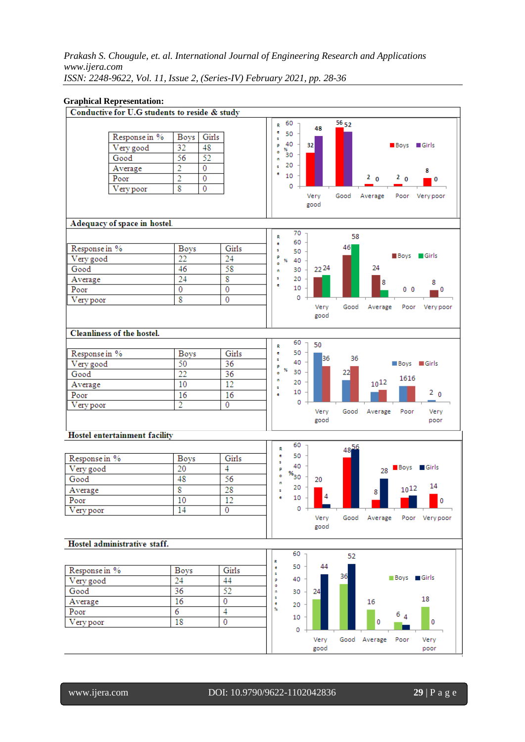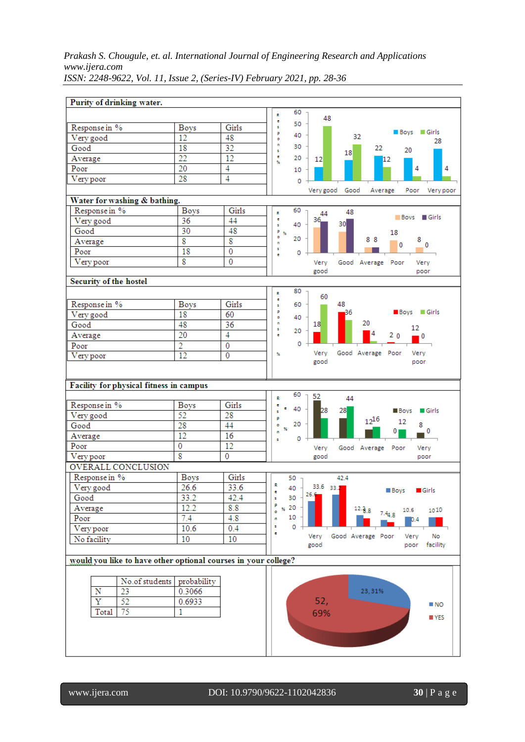| Purity of drinking water.                                      |                                                                |                         |                                                                      |
|----------------------------------------------------------------|----------------------------------------------------------------|-------------------------|----------------------------------------------------------------------|
|                                                                |                                                                |                         | 60<br>R                                                              |
|                                                                |                                                                | Girls                   | 48<br>e<br>50<br>ś                                                   |
| Response in %<br>Very good                                     | <b>Boys</b><br>12                                              | 48                      | Boys Girls<br>p<br>40<br>32                                          |
| Good                                                           | 18                                                             | $\overline{32}$         | ö<br>28<br>n<br>30<br>22                                             |
| Average                                                        | 22                                                             | 12                      | 20<br>s<br>18<br>e<br>20<br>$12 \overline{ }$                        |
| Poor                                                           | 20                                                             | $\overline{4}$          | 12<br>96<br>4<br>4<br>10                                             |
| Very poor                                                      | 28                                                             | $\overline{4}$          |                                                                      |
|                                                                |                                                                |                         | o<br>Very good<br>Good<br>Average<br>Poor<br>Very poor               |
| Water for washing & bathing.                                   |                                                                |                         |                                                                      |
| Response in %                                                  | <b>Boys</b>                                                    | Girls                   | 60<br>48<br>R                                                        |
| Very good                                                      | 36                                                             | 44                      | 44<br>$\blacksquare$ Girls<br><b>Boys</b><br>ē<br>36.                |
| Good                                                           | 30                                                             | 48                      | 30 <sub>1</sub><br>40<br>s<br>p<br>18<br>96                          |
| Average                                                        | $\overline{\mathbf{8}}$                                        | $\overline{\mathbf{8}}$ | ۰<br>20<br>88<br>8<br>'n<br>$\mathbf{0}$                             |
| Poor                                                           | 18                                                             | 0                       | 0<br>s<br>о<br>×                                                     |
| Very poor                                                      | $\overline{\mathbf{8}}$                                        | 0                       | Verv<br>Good Average Poor<br>Very                                    |
|                                                                |                                                                |                         | good<br>poor                                                         |
| <b>Security of the hostel</b>                                  |                                                                |                         |                                                                      |
|                                                                |                                                                |                         | 80<br>R<br>60                                                        |
| Response in %                                                  | Boys                                                           | Girls                   | ē<br>48<br>60<br>s                                                   |
| Very good                                                      | 18                                                             | 60                      | p<br>Boys Girls<br>36<br>40<br>۰                                     |
| Good                                                           | 48                                                             | $\overline{36}$         | 20<br>n<br>18.<br>12                                                 |
| Average                                                        | $\overline{20}$                                                | $\overline{4}$          | s<br>20<br>2 <sub>0</sub><br>e<br>$^{\circ}$                         |
| Poor                                                           | 2                                                              | $\overline{0}$          | 0                                                                    |
| Very poor                                                      | $\overline{12}$                                                | $\overline{0}$          | Very<br>Good Average Poor<br>Very<br>Y.<br>good<br>poor              |
| Facility for physical fitness in campus                        |                                                                |                         | 60<br>52                                                             |
| Response in %                                                  | <b>Boys</b>                                                    | Girls                   | 44<br>R<br>ē                                                         |
| Very good                                                      | 52                                                             | 28                      | ē<br>40<br>28<br>28<br>$\blacksquare$ Girls<br><b>Boys</b><br>ś<br>p |
| Good                                                           | 28                                                             | 44                      | $12^{16}$<br>12<br>20<br>8<br>ö<br>96                                |
| Average                                                        | 12                                                             | 16                      | 0<br>0<br>'n<br>0<br>s                                               |
| Poor                                                           | 0                                                              | 12                      | Good Average<br>Very<br>Poor<br>Very                                 |
| Very poor                                                      | $\overline{\mathbf{8}}$                                        | $\overline{0}$          | good<br>poor                                                         |
| OVERALL CONCLUSION                                             |                                                                |                         |                                                                      |
| Response in %                                                  | <b>Boys</b>                                                    | Girls                   | 50 <sub>7</sub><br>42.4                                              |
| Very good                                                      | 26.6                                                           | 33.6                    | R<br>33.6 33.2<br>40<br><b>Boys</b><br>$\blacksquare$ Girls<br>e     |
| Good                                                           | 33.2                                                           | 42.4                    | 26.6<br>30<br>s                                                      |
| Average                                                        | 12.2                                                           | 8.8                     | p<br>% 20<br>$12.88$ $7.44.8$<br>10.6<br>1010<br>ö                   |
| Poor                                                           | 7.4                                                            | 4.8                     | 10<br>n<br>10.4                                                      |
| Very poor                                                      | 10.6                                                           | 0.4                     | s<br>0<br>e                                                          |
| No facility                                                    | 10                                                             | 10                      | Good Average Poor<br>Very<br>Very<br>No<br>good<br>poor<br>facility  |
|                                                                |                                                                |                         |                                                                      |
| would you like to have other optional courses in your college? |                                                                |                         |                                                                      |
| N<br>23<br>$\overline{\mathrm{Y}}$<br>52<br>75<br>Total        | No.of students probability<br>0.3066<br>0.6933<br>$\mathbf{1}$ |                         | 23,31%<br>52,<br>$\blacksquare$ NO<br>69%<br>NES                     |
|                                                                |                                                                |                         |                                                                      |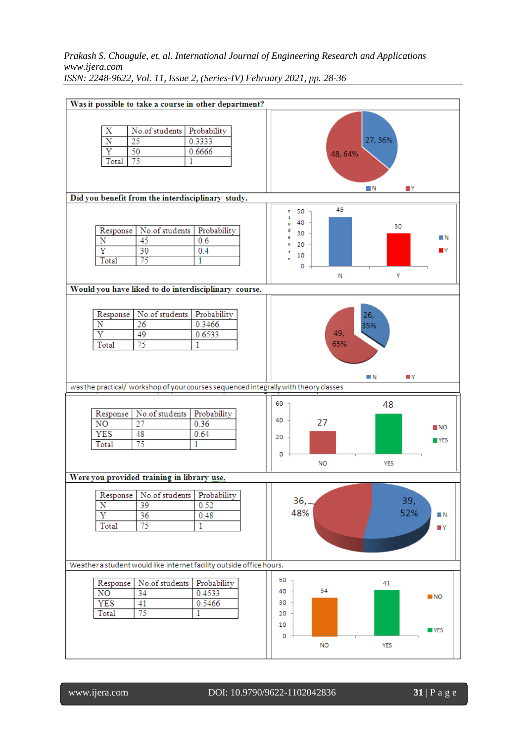

www.ijera.com DOI: 10.9790/9622-1102042836 **31** | P a g e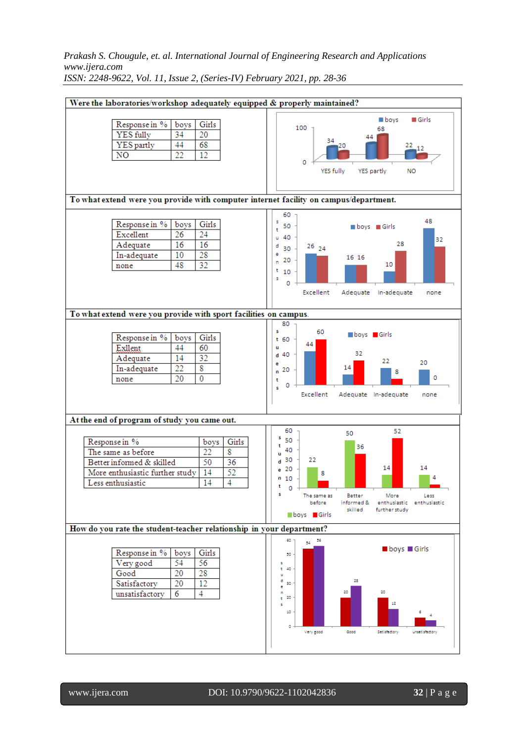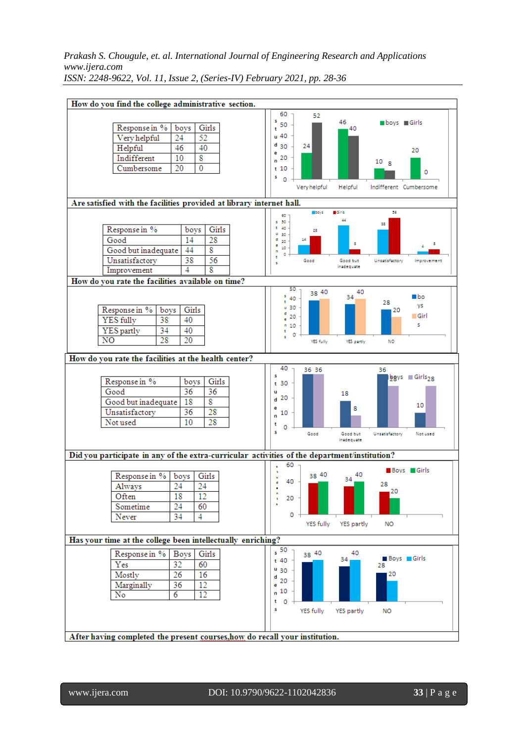|                                                                             | How do you find the college administrative section.                                                               |                                                                                              |  |  |  |
|-----------------------------------------------------------------------------|-------------------------------------------------------------------------------------------------------------------|----------------------------------------------------------------------------------------------|--|--|--|
|                                                                             |                                                                                                                   | 60<br>52                                                                                     |  |  |  |
|                                                                             | Girls                                                                                                             | s<br>46<br>■ boys ■ Girls<br>50                                                              |  |  |  |
| Response in %<br>boys<br>24<br>Very helpful                                 | 52                                                                                                                | 40<br>t<br>u 40                                                                              |  |  |  |
| 46<br>Helpful                                                               | 40                                                                                                                | $d_{30}$<br>24                                                                               |  |  |  |
| 10<br>Indifferent                                                           | 8                                                                                                                 | 20<br>е<br>20                                                                                |  |  |  |
| 20<br>Cumbersome                                                            | $\overline{0}$                                                                                                    | n<br>10 <sub>8</sub><br>t 10                                                                 |  |  |  |
|                                                                             |                                                                                                                   | о<br>s<br>$\overline{0}$                                                                     |  |  |  |
|                                                                             |                                                                                                                   | Very helpful<br>Helpful<br>Indifferent Cumbersome                                            |  |  |  |
|                                                                             |                                                                                                                   |                                                                                              |  |  |  |
|                                                                             | Are satisfied with the facilities provided at library internet hall.<br><b>Ciris</b><br>56<br>$\blacksquare$ boys |                                                                                              |  |  |  |
|                                                                             |                                                                                                                   | 60<br>44<br>\$ 50<br>38                                                                      |  |  |  |
| Response in %                                                               | Girls<br>boys                                                                                                     | $t = 40$<br>28<br>u 30                                                                       |  |  |  |
| Good                                                                        | 14<br>28                                                                                                          | d<br>14<br>20<br>8<br>8<br>е                                                                 |  |  |  |
| Good but inadequate                                                         | 8<br>44                                                                                                           | 10<br>n<br>٥<br>t                                                                            |  |  |  |
| Unsatisfactory                                                              | 38<br>56                                                                                                          | Good<br>Good but<br>Unsatisfactory<br>Improvement<br>s<br>inadequate                         |  |  |  |
| Improvement                                                                 | 8<br>4                                                                                                            |                                                                                              |  |  |  |
| How do you rate the facilities available on time?                           |                                                                                                                   | 50                                                                                           |  |  |  |
|                                                                             |                                                                                                                   | 38 40<br>40<br>∎bo<br>s<br>34<br>40                                                          |  |  |  |
| Response in %<br>boys                                                       | Girls                                                                                                             | ŧ<br>28<br>٧s<br>u 30<br>20                                                                  |  |  |  |
| 38<br>YES fully                                                             | 40                                                                                                                | đ<br>⊟ Girl<br>20<br>ē                                                                       |  |  |  |
| 34<br>YES partly                                                            | 40                                                                                                                | s<br>$n_{10}$<br>t                                                                           |  |  |  |
| 28<br>N <sub>O</sub>                                                        | 20                                                                                                                | 0<br>s<br>YES fully<br>YES partly<br><b>NO</b>                                               |  |  |  |
|                                                                             |                                                                                                                   |                                                                                              |  |  |  |
| How do you rate the facilities at the health center?                        |                                                                                                                   |                                                                                              |  |  |  |
|                                                                             |                                                                                                                   | 40<br>36 36<br>36                                                                            |  |  |  |
| Response in %                                                               | Girls<br>boys                                                                                                     | s<br>$bgys = Girls2R$<br>t 30                                                                |  |  |  |
| Good                                                                        | 36<br>36                                                                                                          | u<br>18                                                                                      |  |  |  |
| Good but inadequate                                                         | 8<br>18                                                                                                           | 20<br>d<br>10                                                                                |  |  |  |
| Unsatisfactory                                                              | 36<br>28                                                                                                          | е<br>8<br>10<br>n                                                                            |  |  |  |
| Not used                                                                    | 28<br>10                                                                                                          | t<br>0                                                                                       |  |  |  |
|                                                                             |                                                                                                                   | s<br>Good<br>Good but<br>Not used<br>Unsatisfactory                                          |  |  |  |
|                                                                             |                                                                                                                   | inadequate                                                                                   |  |  |  |
|                                                                             |                                                                                                                   | Did you participate in any of the extra-curricular activities of the department/institution? |  |  |  |
|                                                                             |                                                                                                                   | 60.<br>٠<br>Boys Girls                                                                       |  |  |  |
| Response in %<br>boys                                                       | Girls                                                                                                             | ÷<br>38 40<br>40<br><b>C</b><br>34<br>40<br>d.                                               |  |  |  |
| 24<br>Always                                                                | 24                                                                                                                | 28<br>20                                                                                     |  |  |  |
| 18<br>Often                                                                 | 12                                                                                                                | 20<br>ŧ                                                                                      |  |  |  |
| Sometime<br>24                                                              | 60                                                                                                                | ٠                                                                                            |  |  |  |
| Never<br>34                                                                 | 4                                                                                                                 | 0<br>YES fully<br>YES partly<br><b>NO</b>                                                    |  |  |  |
|                                                                             |                                                                                                                   |                                                                                              |  |  |  |
| Has your time at the college been intellectually enriching?                 |                                                                                                                   |                                                                                              |  |  |  |
| Response in %   Boys                                                        | Girls                                                                                                             | 50<br>40<br>38 40                                                                            |  |  |  |
| 32<br>Yes                                                                   | 60                                                                                                                | <b>Boys</b> Girls<br>34<br>t 40<br>28                                                        |  |  |  |
| Mostly<br>26                                                                | 16                                                                                                                | $\frac{u}{30}$<br>20<br>d                                                                    |  |  |  |
| 36<br>Marginally                                                            | 12                                                                                                                | 20<br>е                                                                                      |  |  |  |
| $\overline{6}$<br>No                                                        | $\overline{12}$                                                                                                   | n <sup>10</sup>                                                                              |  |  |  |
|                                                                             |                                                                                                                   | t<br>0                                                                                       |  |  |  |
|                                                                             |                                                                                                                   | s<br>YES fully<br>YES partly<br>NO.                                                          |  |  |  |
|                                                                             |                                                                                                                   |                                                                                              |  |  |  |
| After having completed the present courses, how do recall your institution. |                                                                                                                   |                                                                                              |  |  |  |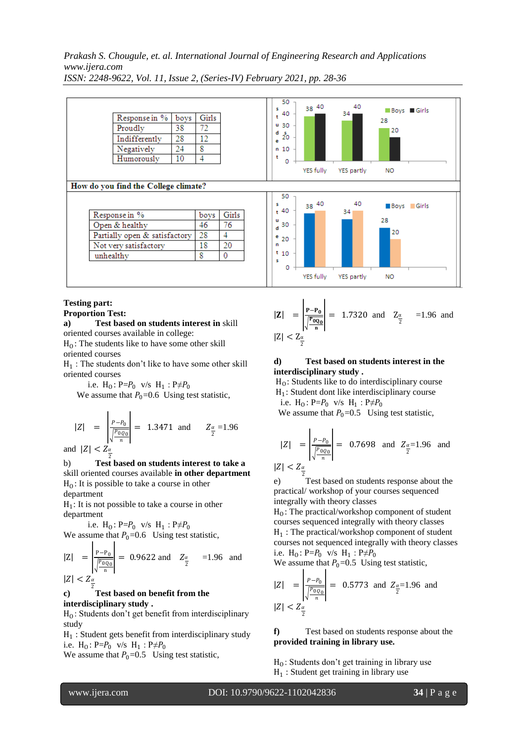

## **Testing part:**

### **Proportion Test:**

**a) Test based on students interest in** skill oriented courses available in college:

 $H_0$ : The students like to have some other skill oriented courses

 $H_1$ : The students don't like to have some other skill oriented courses

i.e.  $H_0: P = P_0$  v/s  $H_1: P \neq P_0$ 

We assume that  $P_0$ =0.6 Using test statistic,

$$
|Z| = \left| \frac{P - P_0}{\sqrt{\frac{P_0 Q_0}{n}}} \right| = 1.3471 \text{ and } Z_{\frac{\alpha}{2}} = 1.96
$$

and  $|Z| < Z_{\frac{\alpha}{2}}$ 

2 b) **Test based on students interest to take a**  skill oriented courses available **in other department**  $H_0$ : It is possible to take a course in other department

 $H_1$ : It is not possible to take a course in other department

i.e.  $H_0: P = P_0$  v/s  $H_1: P \neq P_0$ We assume that  $P_0$ =0.6 Using test statistic,

$$
|Z| = \left| \frac{P - P_0}{\sqrt{\frac{P_{0Q_0}}{n}}} \right| = 0.9622 \text{ and } Z_{\frac{\alpha}{2}} = 1.96 \text{ and}
$$
  

$$
|Z| < Z_{\frac{\alpha}{2}}
$$

#### 2 **c) Test based on benefit from the interdisciplinary study .**

 $H_0$ : Students don't get benefit from interdisciplinary study

H1 : Student gets benefit from interdisciplinary study i.e.  $H_0: P = P_0$  v/s  $H_1: P \neq P_0$ 

We assume that  $P_0=0.5$  Using test statistic,

$$
|\mathbf{Z}| = \left| \frac{\mathbf{P} - \mathbf{P}_0}{\sqrt{\frac{\mathbf{P} \cdot \mathbf{Q}_0}{n}}} \right| = 1.7320 \text{ and } \mathbf{Z}_{\frac{\alpha}{2}} = 1.96 \text{ and}
$$
  

$$
|Z| < Z_{\frac{\alpha}{2}}
$$

#### **d) Test based on students interest in the interdisciplinary study .**

 $H<sub>0</sub>$ : Students like to do interdisciplinary course

 $H_1$ : Student dont like interdisciplinary course i.e.  $H_0: P = P_0$  v/s  $H_1: P \neq P_0$ 

We assume that  $P_0=0.5$  Using test statistic,

$$
|Z| = \left| \frac{P - P_0}{\sqrt{\frac{P \cdot Q_0}{n}}} \right| = 0.7698 \text{ and } Z_{\frac{\alpha}{2}} = 1.96 \text{ and}
$$
  

$$
|Z| < Z_{\frac{\alpha}{2}}
$$

e) <sup>2</sup><br>Test based on students response about the practical/ workshop of your courses sequenced integrally with theory classes

 $H_0$ : The practical/workshop component of student courses sequenced integrally with theory classes H1 : The practical/workshop component of student courses not sequenced integrally with theory classes i.e.  $H_0: P = P_0$  v/s  $H_1: P \neq P_0$ 

We assume that  $P_0=0.5$  Using test statistic,

$$
|Z| = \left| \frac{P - P_0}{\sqrt{\frac{P_0 Q_0}{n}}} \right| = 0.5773 \text{ and } Z_{\frac{\alpha}{2}} = 1.96 \text{ and}
$$
  

$$
|Z| < Z_{\frac{\alpha}{2}}
$$

**f)** Test based on students response about the **provided training in library use.**

 $H<sub>0</sub>$ : Students don't get training in library use  $H_1$ : Student get training in library use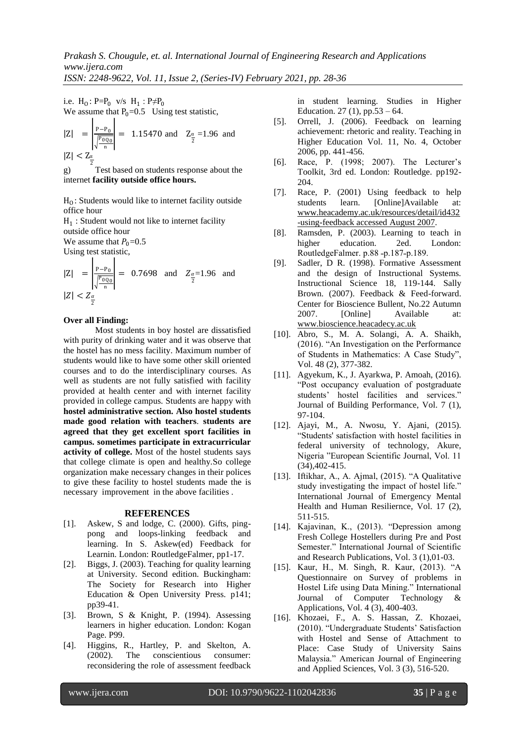i.e.  $H_0: P = P_0$  v/s  $H_1: P \neq P_0$ We assume that  $P_0=0.5$  Using test statistic,

$$
|Z| = \left| \frac{P - P_0}{\sqrt{\frac{P_{0Q_0}}{n}}} \right| = 1.15470 \text{ and } Z_{\frac{\alpha}{2}} = 1.96 \text{ and}
$$

 $|Z| < Z_{\alpha}$ 2

g) Test based on students response about the internet **facility outside office hours.**

 $H_0$ : Students would like to internet facility outside office hour

 $H_1$ : Student would not like to internet facility outside office hour

We assume that  $P_0=0.5$ 

Using test statistic,

$$
|Z| = \left| \frac{P - P_0}{\sqrt{\frac{P_{0Q_0}}{n}}} \right| = 0.7698 \text{ and } Z_{\frac{\alpha}{2}} = 1.96 \text{ and}
$$
  

$$
|Z| < Z_{\frac{\alpha}{2}}
$$

#### **Over all Finding:**

Most students in boy hostel are dissatisfied with purity of drinking water and it was observe that the hostel has no mess facility. Maximum number of students would like to have some other skill oriented courses and to do the interdisciplinary courses. As well as students are not fully satisfied with facility provided at health center and with internet facility provided in college campus. Students are happy with **hostel administrative section. Also hostel students made good relation with teachers**. **students are agreed that they get excellent sport facilities in campus. sometimes participate in extracurricular activity of college.** Most of the hostel students says that college climate is open and healthy.So college organization make necessary changes in their polices to give these facility to hostel students made the is necessary improvement in the above facilities .

#### **REFERENCES**

- [1]. Askew, S and lodge, C. (2000). Gifts, pingpong and loops-linking feedback and learning. In S. Askew(ed) Feedback for Learnin. London: RoutledgeFalmer, pp1-17.
- [2]. Biggs, J. (2003). Teaching for quality learning at University. Second edition. Buckingham: The Society for Research into Higher Education & Open University Press. p141; pp39-41.
- [3]. Brown, S & Knight, P. (1994). Assessing learners in higher education. London: Kogan Page. P99.
- [4]. Higgins, R., Hartley, P. and Skelton, A. (2002). The conscientious consumer: reconsidering the role of assessment feedback

in student learning. Studies in Higher Education. 27 (1), pp.53 – 64.

- [5]. Orrell, J. (2006). Feedback on learning achievement: rhetoric and reality. Teaching in Higher Education Vol. 11, No. 4, October 2006, pp. 441-456.
- [6]. Race, P. (1998; 2007). The Lecturer's Toolkit, 3rd ed. London: Routledge. pp192- 204.
- [7]. Race, P. (2001) Using feedback to help students learn. [Online]Available at: [www.heacademy.ac.uk/resources/detail/id432](http://www.heacademy.ac.uk/resources/detail/id432-using-feedback%20accessed%20August%202007) [-using-feedback accessed August 2007.](http://www.heacademy.ac.uk/resources/detail/id432-using-feedback%20accessed%20August%202007)
- [8]. Ramsden, P. (2003). Learning to teach in higher education. 2ed. London: RoutledgeFalmer. p.88 -p.187-p.189.
- [9]. Sadler, D R. (1998). Formative Assessment and the design of Instructional Systems. Instructional Science 18, 119-144. Sally Brown. (2007). Feedback & Feed-forward. Center for Bioscience Bullent, No.22 Autumn 2007. [Online] Available at: [www.bioscience.heacadecy.ac.uk](http://www.bioscience.heacadecy.ac.uk/)
- [10]. Abro, S., M. A. Solangi, A. A. Shaikh, (2016). "An Investigation on the Performance of Students in Mathematics: A Case Study", Vol. 48 (2), 377-382.
- [11]. Agyekum, K., J. Ayarkwa, P. Amoah, (2016). "Post occupancy evaluation of postgraduate students' hostel facilities and services." Journal of Building Performance, Vol. 7 (1), 97-104.
- [12]. Ajayi, M., A. Nwosu, Y. Ajani, (2015). "Students' satisfaction with hostel facilities in federal university of technology, Akure, Nigeria "European Scientific Journal, Vol. 11 (34),402-415.
- [13]. Iftikhar, A., A. Ajmal, (2015). "A Qualitative study investigating the impact of hostel life." International Journal of Emergency Mental Health and Human Resiliernce, Vol. 17 (2), 511-515.
- [14]. Kajavinan, K., (2013). "Depression among Fresh College Hostellers during Pre and Post Semester." International Journal of Scientific and Research Publications, Vol. 3 (1),01-03.
- [15]. Kaur, H., M. Singh, R. Kaur, (2013). "A Questionnaire on Survey of problems in Hostel Life using Data Mining." International Journal of Computer Technology & Applications, Vol. 4 (3), 400-403.
- [16]. Khozaei, F., A. S. Hassan, Z. Khozaei, (2010). "Undergraduate Students' Satisfaction with Hostel and Sense of Attachment to Place: Case Study of University Sains Malaysia." American Journal of Engineering and Applied Sciences, Vol. 3 (3), 516-520.